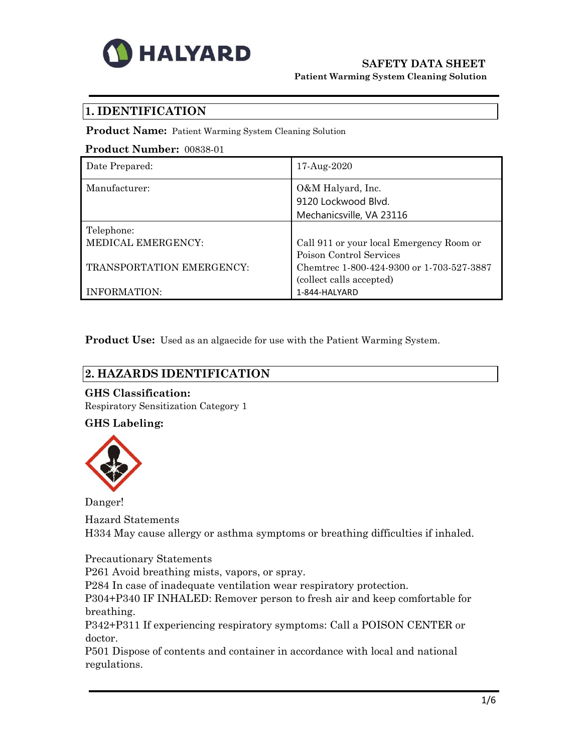

## **SAFETY DATA SHEET Patient Warming System Cleaning Solution**

# **1. IDENTIFICATION**

**Product Name:** Patient Warming System Cleaning Solution

#### **Product Number:** 00838-01

| Date Prepared:                                                | 17-Aug-2020                                                                                                                                  |
|---------------------------------------------------------------|----------------------------------------------------------------------------------------------------------------------------------------------|
| Manufacturer:                                                 | O&M Halyard, Inc.<br>9120 Lockwood Blvd.<br>Mechanicsville, VA 23116                                                                         |
| Telephone:<br>MEDICAL EMERGENCY:<br>TRANSPORTATION EMERGENCY: | Call 911 or your local Emergency Room or<br>Poison Control Services<br>Chemtrec 1-800-424-9300 or 1-703-527-3887<br>(collect calls accepted) |
| INFORMATION:                                                  | 1-844-HALYARD                                                                                                                                |

**Product Use:** Used as an algaecide for use with the Patient Warming System.

## **2. HAZARDS IDENTIFICATION**

## **GHS Classification:**

Respiratory Sensitization Category 1

## **GHS Labeling:**



Danger!

Hazard Statements H334 May cause allergy or asthma symptoms or breathing difficulties if inhaled.

Precautionary Statements

P261 Avoid breathing mists, vapors, or spray.

P284 In case of inadequate ventilation wear respiratory protection.

P304+P340 IF INHALED: Remover person to fresh air and keep comfortable for breathing.

P342+P311 If experiencing respiratory symptoms: Call a POISON CENTER or doctor.

P501 Dispose of contents and container in accordance with local and national regulations.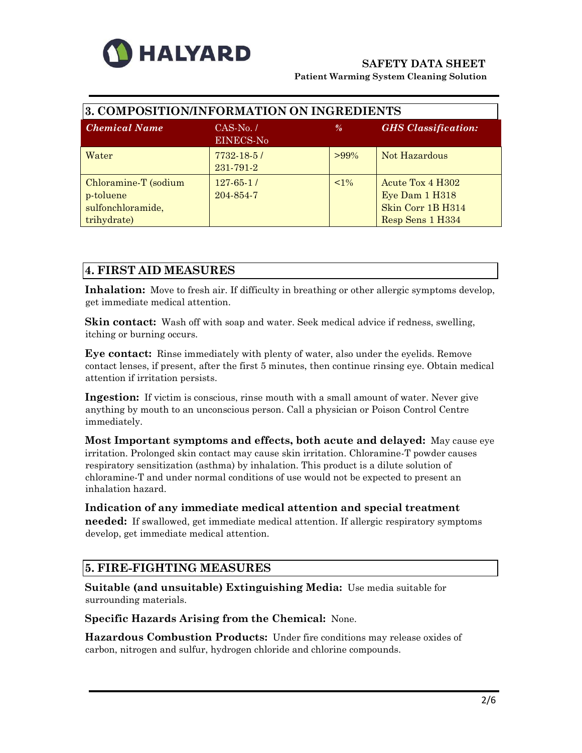

| 3. COMPOSITION/INFORMATION ON INGREDIENTS                             |                            |               |                                                                             |  |
|-----------------------------------------------------------------------|----------------------------|---------------|-----------------------------------------------------------------------------|--|
| <b>Chemical Name</b>                                                  | $CAS-N0./$<br>EINECS-No    | $\frac{9}{6}$ | <b>GHS</b> <i>Classification:</i>                                           |  |
| Water                                                                 | $7732 - 1851$<br>231-791-2 | $>99\%$       | Not Hazardous                                                               |  |
| Chloramine-T (sodium<br>p-toluene<br>sulfonchloramide,<br>trihydrate) | $127-65-1/$<br>204-854-7   | $< 1\%$       | Acute Tox 4 H302<br>Eye Dam 1 H318<br>Skin Corr 1B H314<br>Resp Sens 1 H334 |  |

# **4. FIRST AID MEASURES**

**Inhalation:** Move to fresh air. If difficulty in breathing or other allergic symptoms develop, get immediate medical attention.

**Skin contact:** Wash off with soap and water. Seek medical advice if redness, swelling, itching or burning occurs.

**Eye contact:** Rinse immediately with plenty of water, also under the eyelids. Remove contact lenses, if present, after the first 5 minutes, then continue rinsing eye. Obtain medical attention if irritation persists.

**Ingestion:** If victim is conscious, rinse mouth with a small amount of water. Never give anything by mouth to an unconscious person. Call a physician or Poison Control Centre immediately.

**Most Important symptoms and effects, both acute and delayed:** May cause eye irritation. Prolonged skin contact may cause skin irritation. Chloramine-T powder causes respiratory sensitization (asthma) by inhalation. This product is a dilute solution of chloramine-T and under normal conditions of use would not be expected to present an inhalation hazard.

## **Indication of any immediate medical attention and special treatment**

**needed:** If swallowed, get immediate medical attention. If allergic respiratory symptoms develop, get immediate medical attention.

## **5. FIRE-FIGHTING MEASURES**

**Suitable (and unsuitable) Extinguishing Media:** Use media suitable for surrounding materials.

**Specific Hazards Arising from the Chemical:** None.

**Hazardous Combustion Products:** Under fire conditions may release oxides of carbon, nitrogen and sulfur, hydrogen chloride and chlorine compounds.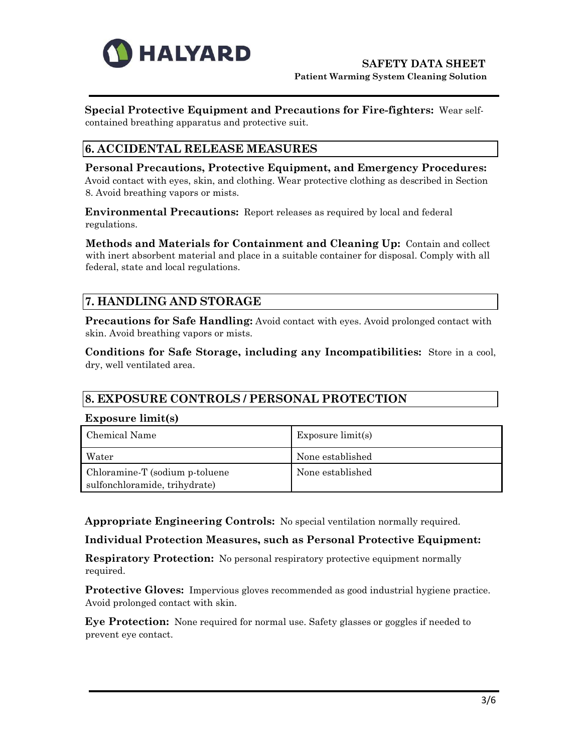

**Special Protective Equipment and Precautions for Fire-fighters:** Wear selfcontained breathing apparatus and protective suit.

## **6. ACCIDENTAL RELEASE MEASURES**

**Personal Precautions, Protective Equipment, and Emergency Procedures:** Avoid contact with eyes, skin, and clothing. Wear protective clothing as described in Section 8. Avoid breathing vapors or mists.

**Environmental Precautions:** Report releases as required by local and federal regulations.

**Methods and Materials for Containment and Cleaning Up:** Contain and collect with inert absorbent material and place in a suitable container for disposal. Comply with all federal, state and local regulations.

# **7. HANDLING AND STORAGE**

**Precautions for Safe Handling:** Avoid contact with eyes. Avoid prolonged contact with skin. Avoid breathing vapors or mists.

**Conditions for Safe Storage, including any Incompatibilities:** Store in a cool, dry, well ventilated area.

## **8. EXPOSURE CONTROLS / PERSONAL PROTECTION**

#### **Exposure limit(s)**

| Chemical Name                                                    | Exposure $limit(s)$ |
|------------------------------------------------------------------|---------------------|
| Water                                                            | None established    |
| Chloramine-T (sodium p-toluene)<br>sulfonchloramide, trihydrate) | None established    |

**Appropriate Engineering Controls:** No special ventilation normally required.

## **Individual Protection Measures, such as Personal Protective Equipment:**

**Respiratory Protection:** No personal respiratory protective equipment normally required.

**Protective Gloves:** Impervious gloves recommended as good industrial hygiene practice. Avoid prolonged contact with skin.

**Eye Protection:** None required for normal use. Safety glasses or goggles if needed to prevent eye contact.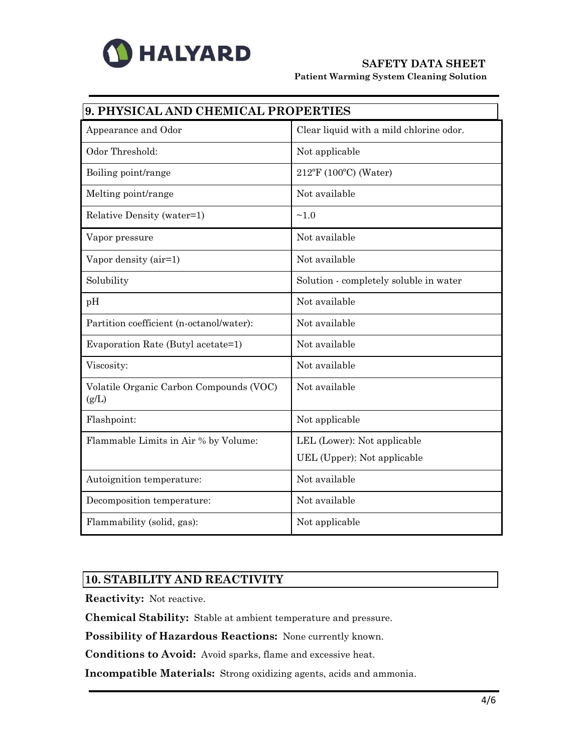

# **SAFETY DATA SHEET**

**Patient Warming System Cleaning Solution** 

| 9. PHYSICAL AND CHEMICAL PROPERTIES              |                                         |  |
|--------------------------------------------------|-----------------------------------------|--|
| Appearance and Odor                              | Clear liquid with a mild chlorine odor. |  |
| Odor Threshold:                                  | Not applicable                          |  |
| Boiling point/range                              | $212^{\circ}F(100^{\circ}C)$ (Water)    |  |
| Melting point/range                              | Not available                           |  |
| Relative Density (water=1)                       | ~1.0                                    |  |
| Vapor pressure                                   | Not available                           |  |
| Vapor density (air=1)                            | Not available                           |  |
| Solubility                                       | Solution - completely soluble in water  |  |
| pH                                               | Not available                           |  |
| Partition coefficient (n-octanol/water):         | Not available                           |  |
| Evaporation Rate (Butyl acetate=1)               | Not available                           |  |
| Viscosity:                                       | Not available                           |  |
| Volatile Organic Carbon Compounds (VOC)<br>(g/L) | Not available                           |  |
| Flashpoint:                                      | Not applicable                          |  |
| Flammable Limits in Air % by Volume:             | LEL (Lower): Not applicable             |  |
|                                                  | UEL (Upper): Not applicable             |  |
| Autoignition temperature:                        | Not available                           |  |
| Decomposition temperature:                       | Not available                           |  |
| Flammability (solid, gas):                       | Not applicable                          |  |

## **10. STABILITY AND REACTIVITY**

**Reactivity:** Not reactive.

**Chemical Stability:** Stable at ambient temperature and pressure.

**Possibility of Hazardous Reactions:** None currently known.

**Conditions to Avoid:** Avoid sparks, flame and excessive heat.

**Incompatible Materials:** Strong oxidizing agents, acids and ammonia.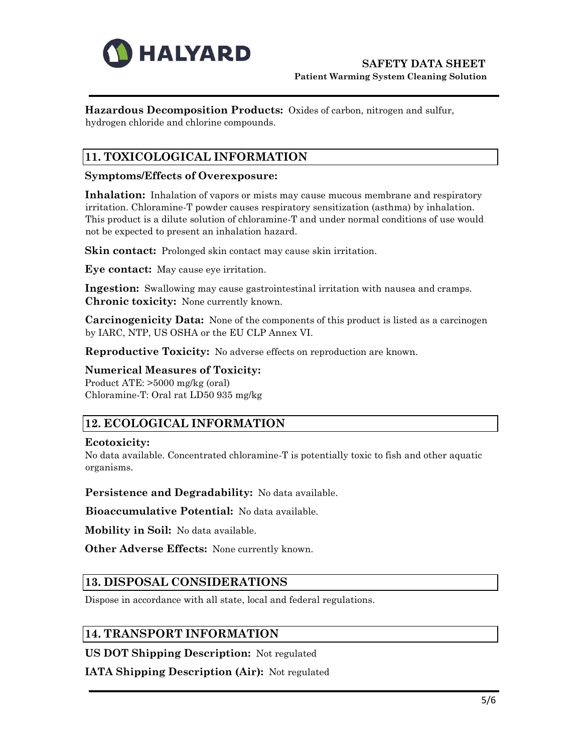

**Hazardous Decomposition Products:** Oxides of carbon, nitrogen and sulfur, hydrogen chloride and chlorine compounds.

# **11. TOXICOLOGICAL INFORMATION**

#### **Symptoms/Effects of Overexposure:**

**Inhalation:** Inhalation of vapors or mists may cause mucous membrane and respiratory irritation. Chloramine-T powder causes respiratory sensitization (asthma) by inhalation. This product is a dilute solution of chloramine-T and under normal conditions of use would not be expected to present an inhalation hazard.

**Skin contact:** Prolonged skin contact may cause skin irritation.

**Eye contact:** May cause eye irritation.

**Ingestion:** Swallowing may cause gastrointestinal irritation with nausea and cramps. **Chronic toxicity:** None currently known.

**Carcinogenicity Data:** None of the components of this product is listed as a carcinogen by IARC, NTP, US OSHA or the EU CLP Annex VI.

**Reproductive Toxicity:** No adverse effects on reproduction are known.

#### **Numerical Measures of Toxicity:**

Product ATE: >5000 mg/kg (oral) Chloramine-T: Oral rat LD50 935 mg/kg

## **12. ECOLOGICAL INFORMATION**

#### **Ecotoxicity:**

No data available. Concentrated chloramine-T is potentially toxic to fish and other aquatic organisms.

**Persistence and Degradability:** No data available.

**Bioaccumulative Potential:** No data available.

**Mobility in Soil:** No data available.

**Other Adverse Effects:** None currently known.

## **13. DISPOSAL CONSIDERATIONS**

Dispose in accordance with all state, local and federal regulations.

## **14. TRANSPORT INFORMATION**

**US DOT Shipping Description:** Not regulated

**IATA Shipping Description (Air):** Not regulated